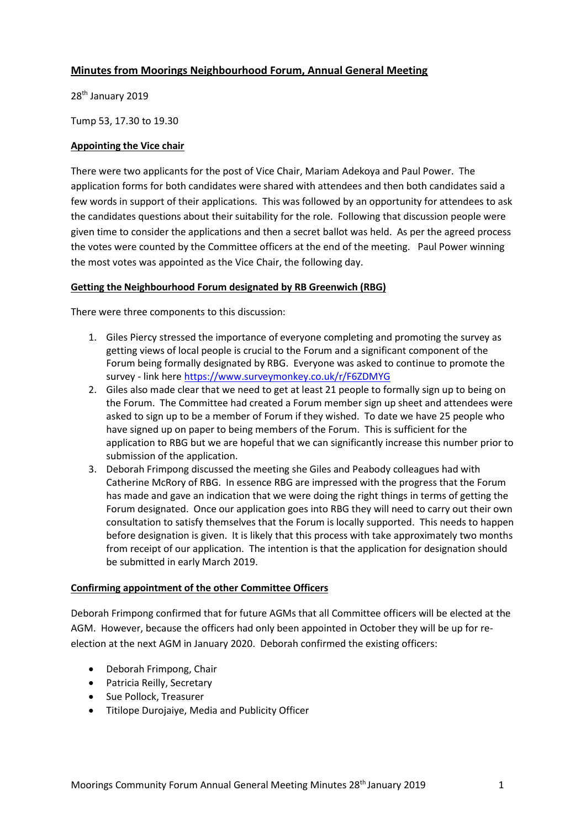# **Minutes from Moorings Neighbourhood Forum, Annual General Meeting**

28<sup>th</sup> January 2019

Tump 53, 17.30 to 19.30

#### **Appointing the Vice chair**

There were two applicants for the post of Vice Chair, Mariam Adekoya and Paul Power. The application forms for both candidates were shared with attendees and then both candidates said a few words in support of their applications. This was followed by an opportunity for attendees to ask the candidates questions about their suitability for the role. Following that discussion people were given time to consider the applications and then a secret ballot was held. As per the agreed process the votes were counted by the Committee officers at the end of the meeting. Paul Power winning the most votes was appointed as the Vice Chair, the following day.

#### **Getting the Neighbourhood Forum designated by RB Greenwich (RBG)**

There were three components to this discussion:

- 1. Giles Piercy stressed the importance of everyone completing and promoting the survey as getting views of local people is crucial to the Forum and a significant component of the Forum being formally designated by RBG. Everyone was asked to continue to promote the survey - link here<https://www.surveymonkey.co.uk/r/F6ZDMYG>
- 2. Giles also made clear that we need to get at least 21 people to formally sign up to being on the Forum. The Committee had created a Forum member sign up sheet and attendees were asked to sign up to be a member of Forum if they wished. To date we have 25 people who have signed up on paper to being members of the Forum. This is sufficient for the application to RBG but we are hopeful that we can significantly increase this number prior to submission of the application.
- 3. Deborah Frimpong discussed the meeting she Giles and Peabody colleagues had with Catherine McRory of RBG. In essence RBG are impressed with the progress that the Forum has made and gave an indication that we were doing the right things in terms of getting the Forum designated. Once our application goes into RBG they will need to carry out their own consultation to satisfy themselves that the Forum is locally supported. This needs to happen before designation is given. It is likely that this process with take approximately two months from receipt of our application. The intention is that the application for designation should be submitted in early March 2019.

# **Confirming appointment of the other Committee Officers**

Deborah Frimpong confirmed that for future AGMs that all Committee officers will be elected at the AGM. However, because the officers had only been appointed in October they will be up for reelection at the next AGM in January 2020. Deborah confirmed the existing officers:

- Deborah Frimpong, Chair
- Patricia Reilly, Secretary
- Sue Pollock, Treasurer
- Titilope Durojaiye, Media and Publicity Officer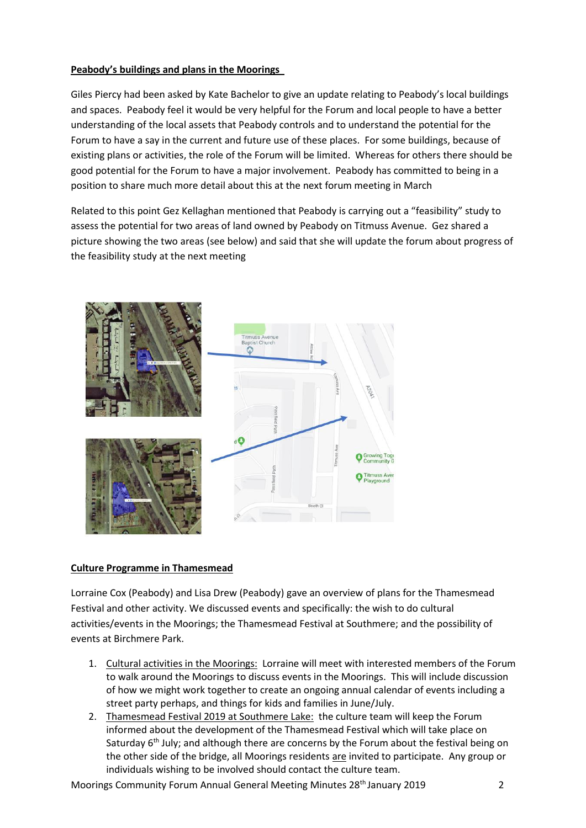# **Peabody's buildings and plans in the Moorings**

Giles Piercy had been asked by Kate Bachelor to give an update relating to Peabody's local buildings and spaces. Peabody feel it would be very helpful for the Forum and local people to have a better understanding of the local assets that Peabody controls and to understand the potential for the Forum to have a say in the current and future use of these places. For some buildings, because of existing plans or activities, the role of the Forum will be limited. Whereas for others there should be good potential for the Forum to have a major involvement. Peabody has committed to being in a position to share much more detail about this at the next forum meeting in March

Related to this point Gez Kellaghan mentioned that Peabody is carrying out a "feasibility" study to assess the potential for two areas of land owned by Peabody on Titmuss Avenue. Gez shared a picture showing the two areas (see below) and said that she will update the forum about progress of the feasibility study at the next meeting



# **Culture Programme in Thamesmead**

Lorraine Cox (Peabody) and Lisa Drew (Peabody) gave an overview of plans for the Thamesmead Festival and other activity. We discussed events and specifically: the wish to do cultural activities/events in the Moorings; the Thamesmead Festival at Southmere; and the possibility of events at Birchmere Park.

- 1. Cultural activities in the Moorings: Lorraine will meet with interested members of the Forum to walk around the Moorings to discuss events in the Moorings. This will include discussion of how we might work together to create an ongoing annual calendar of events including a street party perhaps, and things for kids and families in June/July.
- 2. Thamesmead Festival 2019 at Southmere Lake: the culture team will keep the Forum informed about the development of the Thamesmead Festival which will take place on Saturday 6<sup>th</sup> July; and although there are concerns by the Forum about the festival being on the other side of the bridge, all Moorings residents are invited to participate. Any group or individuals wishing to be involved should contact the culture team.

Moorings Community Forum Annual General Meeting Minutes 28th January 2019 2